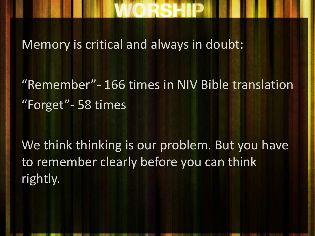Memory is critical and always in doubt:

"Remember"- 166 times in NIV Bible translation "Forget"- 58 times

We think thinking is our problem. But you have to remember clearly before you can think rightly.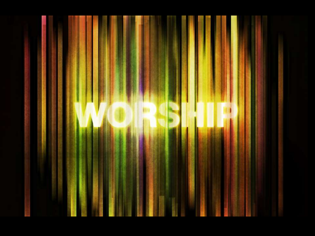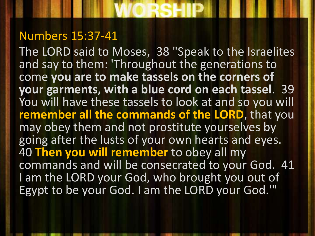#### Numbers 15:37-41

The LORD said to Moses, 38 "Speak to the Israelites and say to them: 'Throughout the generations to come **you are to make tassels on the corners of your garments, with a blue cord on each tassel**. 39 You will have these tassels to look at and so you will **remember all the commands of the LORD**, that you may obey them and not prostitute yourselves by going after the lusts of your own hearts and eyes. 40 **Then you will remember** to obey all my commands and will be consecrated to your God. 41 I am the LORD your God, who brought you out of Egypt to be your God. I am the LORD your God.'"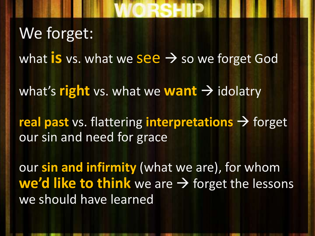### We forget:

what **is** vs. what we see  $\rightarrow$  so we forget God

what's **right** vs. what we **want**  $\rightarrow$  idolatry

**real past** vs. flattering **interpretations**  $\rightarrow$  forget our sin and need for grace

our **sin and infirmity** (what we are), for whom **we'd like to think** we are  $\rightarrow$  forget the lessons we should have learned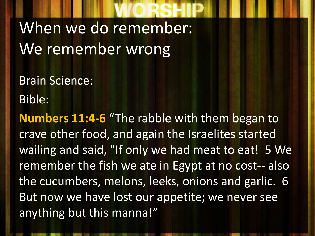When we do remember: We remember wrong

Brain Science:

Bible:

**Numbers 11:4-6** "The rabble with them began to crave other food, and again the Israelites started wailing and said, "If only we had meat to eat! 5 We remember the fish we ate in Egypt at no cost-- also the cucumbers, melons, leeks, onions and garlic. 6 But now we have lost our appetite; we never see anything but this manna!"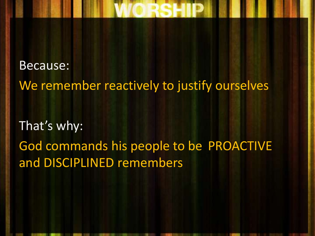Because: We remember reactively to justify ourselves That's why: God commands his people to be PROACTIVE and DISCIPLINED remembers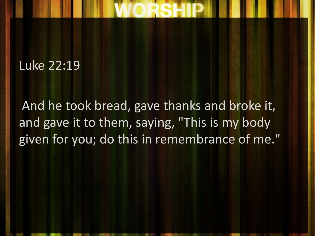#### Luke 22:19

And he took bread, gave thanks and broke it, and gave it to them, saying, "This is my body given for you; do this in remembrance of me."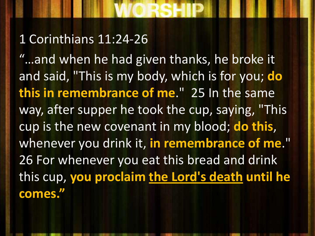#### 1 Corinthians 11:24-26

"…and when he had given thanks, he broke it and said, "This is my body, which is for you; **do this in remembrance of me**." 25 In the same way, after supper he took the cup, saying, "This cup is the new covenant in my blood; **do this**, whenever you drink it, **in remembrance of me**." 26 For whenever you eat this bread and drink this cup, **you proclaim the Lord's death until he comes."**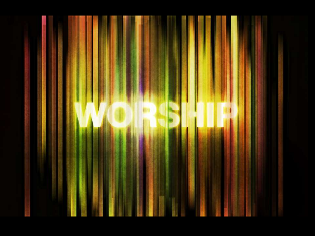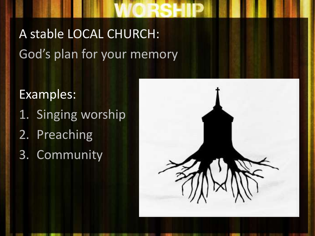### A stable LOCAL CHURCH: God's plan for your memory

Examples:

- 1. Singing worship
- 2. Preaching
- 3. Community

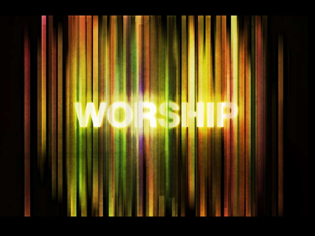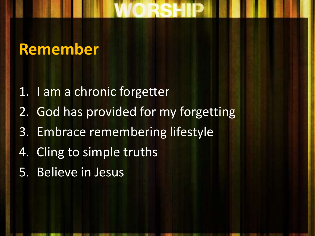#### **Remember**

- 1. I am a chronic forgetter
- 2. God has provided for my forgetting
- 3. Embrace remembering lifestyle
- 4. Cling to simple truths
- 5. Believe in Jesus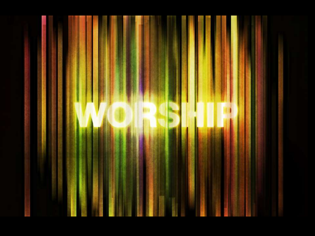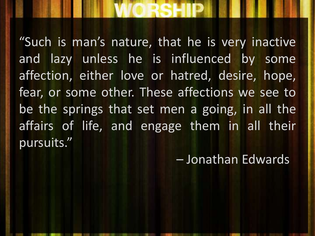#### "Such is man's nature, that he is very inactive and lazy unless he is influenced by some affection, either love or hatred, desire, hope, fear, or some other. These affections we see to be the springs that set men a going, in all the affairs of life, and engage them in all their pursuits."

– Jonathan Edwards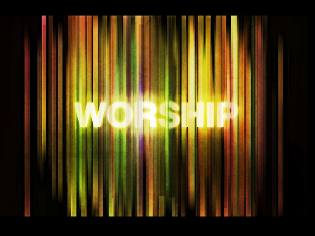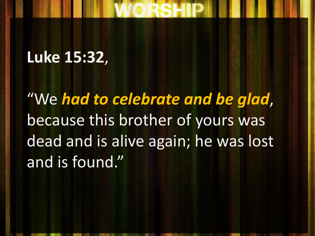### **Luke 15:32**,

"We *had to celebrate and be glad*, because this brother of yours was dead and is alive again; he was lost and is found."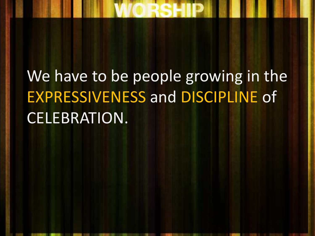# We have to be people growing in the EXPRESSIVENESS and DISCIPLINE of CELEBRATION.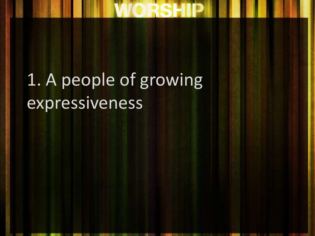# 1. A people of growing expressiveness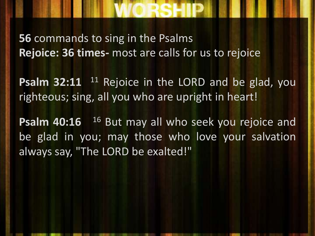# **56** commands to sing in the Psalms

**Rejoice: 36 times-** most are calls for us to rejoice

**Psalm** 32:11 <sup>11</sup> Rejoice in the LORD and be glad, you righteous; sing, all you who are upright in heart!

Psalm 40:16 <sup>16</sup> But may all who seek you rejoice and be glad in you; may those who love your salvation always say, "The LORD be exalted!"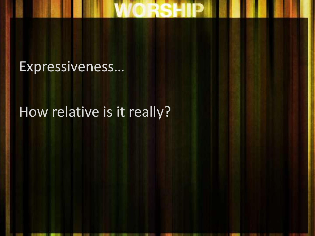#### Expressiveness…

#### How relative is it really?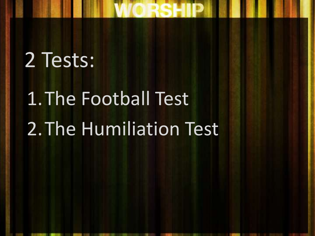## 2 Tests:

# 1.The Football Test 2.The Humiliation Test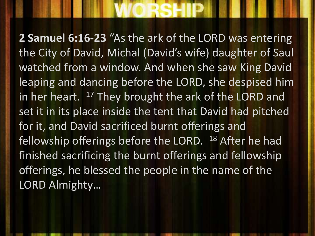**2 Samuel 6:16-23** "As the ark of the LORD was entering the City of David, Michal (David's wife) daughter of Saul watched from a window. And when she saw King David leaping and dancing before the LORD, she despised him in her heart.  $17$  They brought the ark of the LORD and set it in its place inside the tent that David had pitched for it, and David sacrificed burnt offerings and fellowship offerings before the LORD. <sup>18</sup> After he had finished sacrificing the burnt offerings and fellowship offerings, he blessed the people in the name of the LORD Almighty…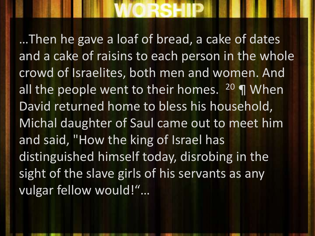…Then he gave a loaf of bread, a cake of dates and a cake of raisins to each person in the whole crowd of Israelites, both men and women. And all the people went to their homes.  $20 \text{ T}$  When David returned home to bless his household, Michal daughter of Saul came out to meet him and said, "How the king of Israel has distinguished himself today, disrobing in the sight of the slave girls of his servants as any vulgar fellow would!"…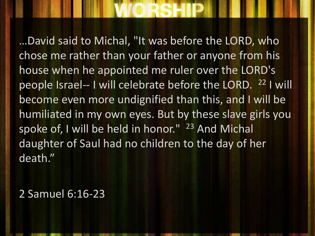…David said to Michal, "It was before the LORD, who chose me rather than your father or anyone from his house when he appointed me ruler over the LORD's people Israel-- I will celebrate before the LORD. <sup>22</sup> I will become even more undignified than this, and I will be humiliated in my own eyes. But by these slave girls you spoke of, I will be held in honor." <sup>23</sup> And Michal daughter of Saul had no children to the day of her death."

2 Samuel 6:16-23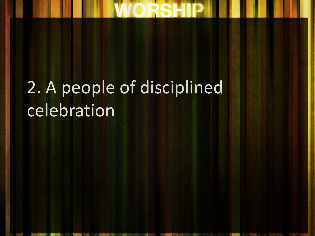# 2. A people of disciplined celebration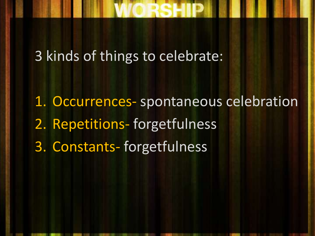#### 3 kinds of things to celebrate:

1. Occurrences- spontaneous celebration 2. Repetitions- forgetfulness 3. Constants- forgetfulness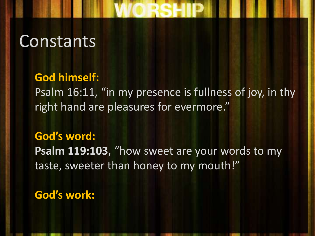### **Constants**

#### **God himself:**

Psalm 16:11, "in my presence is fullness of joy, in thy right hand are pleasures for evermore."

#### **God's word:**

**Psalm 119:103**, "how sweet are your words to my taste, sweeter than honey to my mouth!"

**God's work:**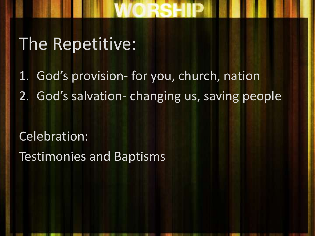## The Repetitive:

1. God's provision- for you, church, nation 2. God's salvation- changing us, saving people

Celebration: Testimonies and Baptisms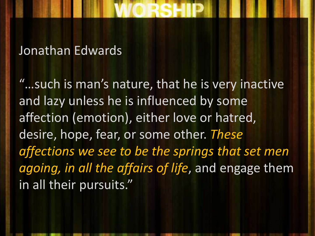#### Jonathan Edwards

"…such is man's nature, that he is very inactive and lazy unless he is influenced by some affection (emotion), either love or hatred, desire, hope, fear, or some other. *These affections we see to be the springs that set men agoing, in all the affairs of life*, and engage them in all their pursuits."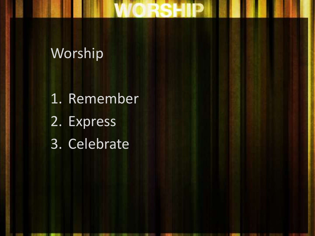#### Worship

1. Remember 2. Express 3. Celebrate